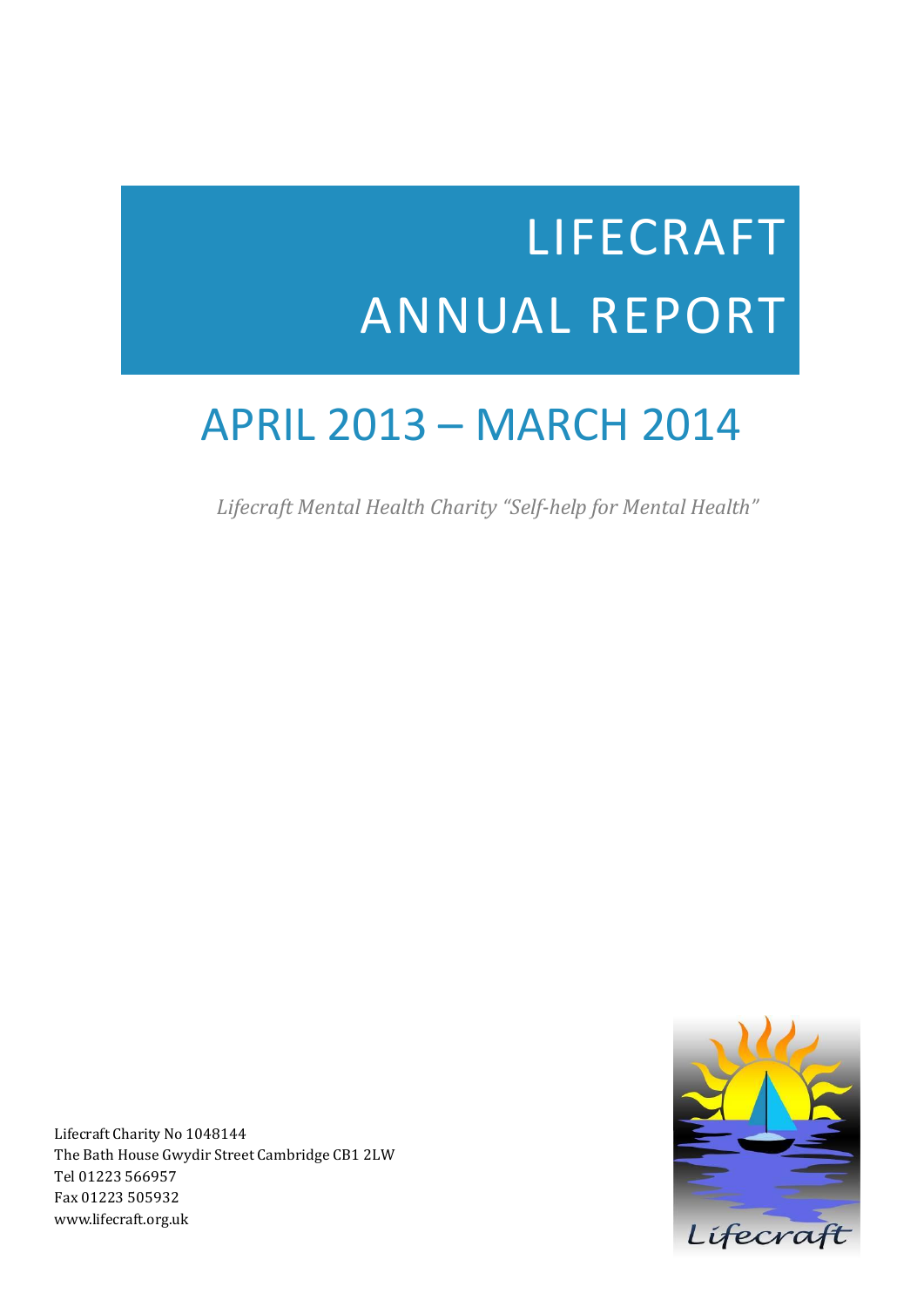# LIFECRAFT ANNUAL REPORT

# APRIL 2013 – MARCH 2014

 *Lifecraft Mental Health Charity "Self-help for Mental Health"*

Lifecraft

Lifecraft Charity No 1048144 The Bath House Gwydir Street Cambridge CB1 2LW Tel 01223 566957 Fax 01223 505932 www.lifecraft.org.uk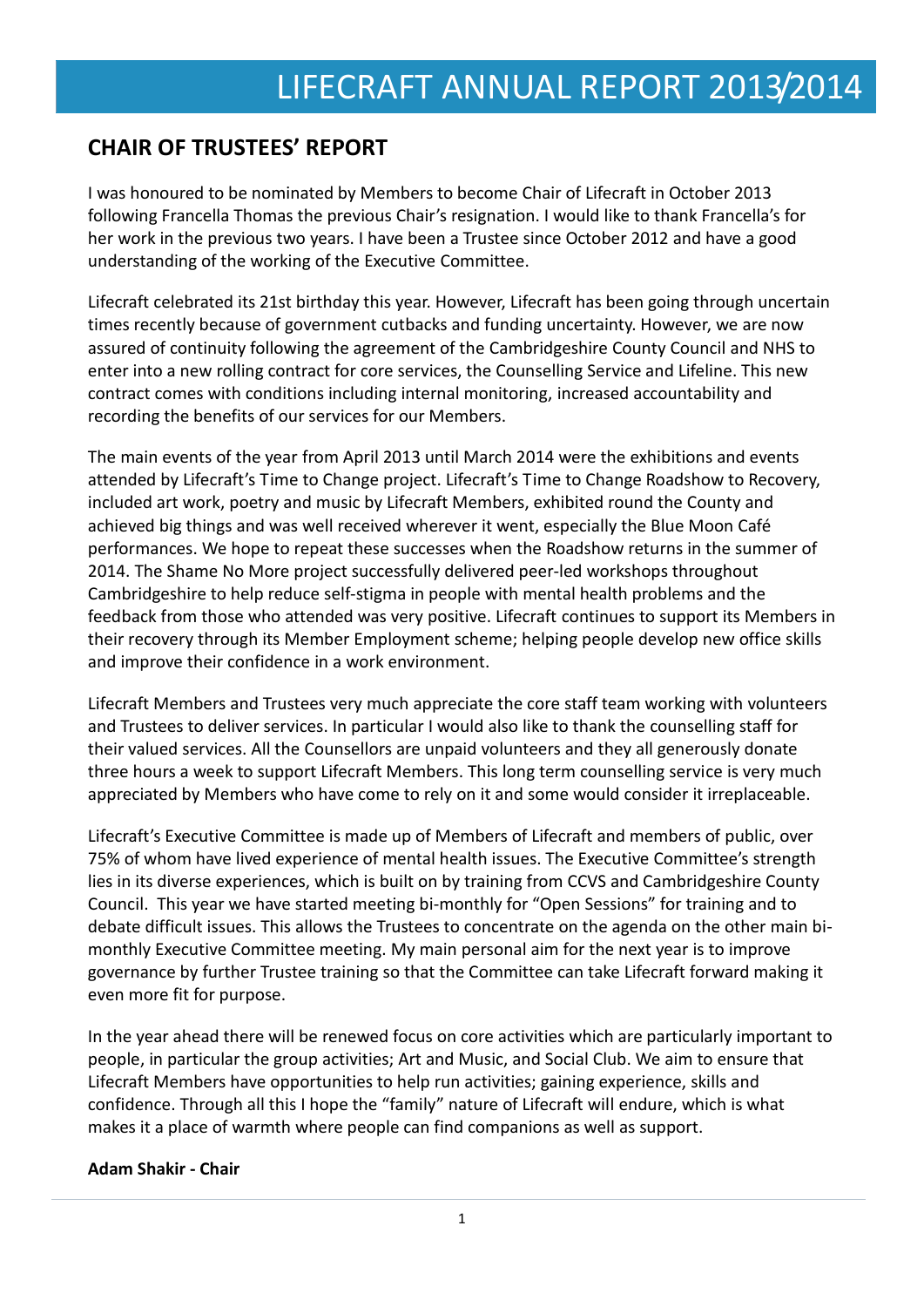# **CHAIR OF TRUSTEES' REPORT**

I was honoured to be nominated by Members to become Chair of Lifecraft in October 2013 following Francella Thomas the previous Chair's resignation. I would like to thank Francella's for her work in the previous two years. I have been a Trustee since October 2012 and have a good understanding of the working of the Executive Committee.

Lifecraft celebrated its 21st birthday this year. However, Lifecraft has been going through uncertain times recently because of government cutbacks and funding uncertainty. However, we are now assured of continuity following the agreement of the Cambridgeshire County Council and NHS to enter into a new rolling contract for core services, the Counselling Service and Lifeline. This new contract comes with conditions including internal monitoring, increased accountability and recording the benefits of our services for our Members.

The main events of the year from April 2013 until March 2014 were the exhibitions and events attended by Lifecraft's Time to Change project. Lifecraft's Time to Change Roadshow to Recovery, included art work, poetry and music by Lifecraft Members, exhibited round the County and achieved big things and was well received wherever it went, especially the Blue Moon Café performances. We hope to repeat these successes when the Roadshow returns in the summer of 2014. The Shame No More project successfully delivered peer-led workshops throughout Cambridgeshire to help reduce self-stigma in people with mental health problems and the feedback from those who attended was very positive. Lifecraft continues to support its Members in their recovery through its Member Employment scheme; helping people develop new office skills and improve their confidence in a work environment.

Lifecraft Members and Trustees very much appreciate the core staff team working with volunteers and Trustees to deliver services. In particular I would also like to thank the counselling staff for their valued services. All the Counsellors are unpaid volunteers and they all generously donate three hours a week to support Lifecraft Members. This long term counselling service is very much appreciated by Members who have come to rely on it and some would consider it irreplaceable.

Lifecraft's Executive Committee is made up of Members of Lifecraft and members of public, over 75% of whom have lived experience of mental health issues. The Executive Committee's strength lies in its diverse experiences, which is built on by training from CCVS and Cambridgeshire County Council. This year we have started meeting bi-monthly for "Open Sessions" for training and to debate difficult issues. This allows the Trustees to concentrate on the agenda on the other main bimonthly Executive Committee meeting. My main personal aim for the next year is to improve governance by further Trustee training so that the Committee can take Lifecraft forward making it even more fit for purpose.

In the year ahead there will be renewed focus on core activities which are particularly important to people, in particular the group activities; Art and Music, and Social Club. We aim to ensure that Lifecraft Members have opportunities to help run activities; gaining experience, skills and confidence. Through all this I hope the "family" nature of Lifecraft will endure, which is what makes it a place of warmth where people can find companions as well as support.

### **Adam Shakir - Chair**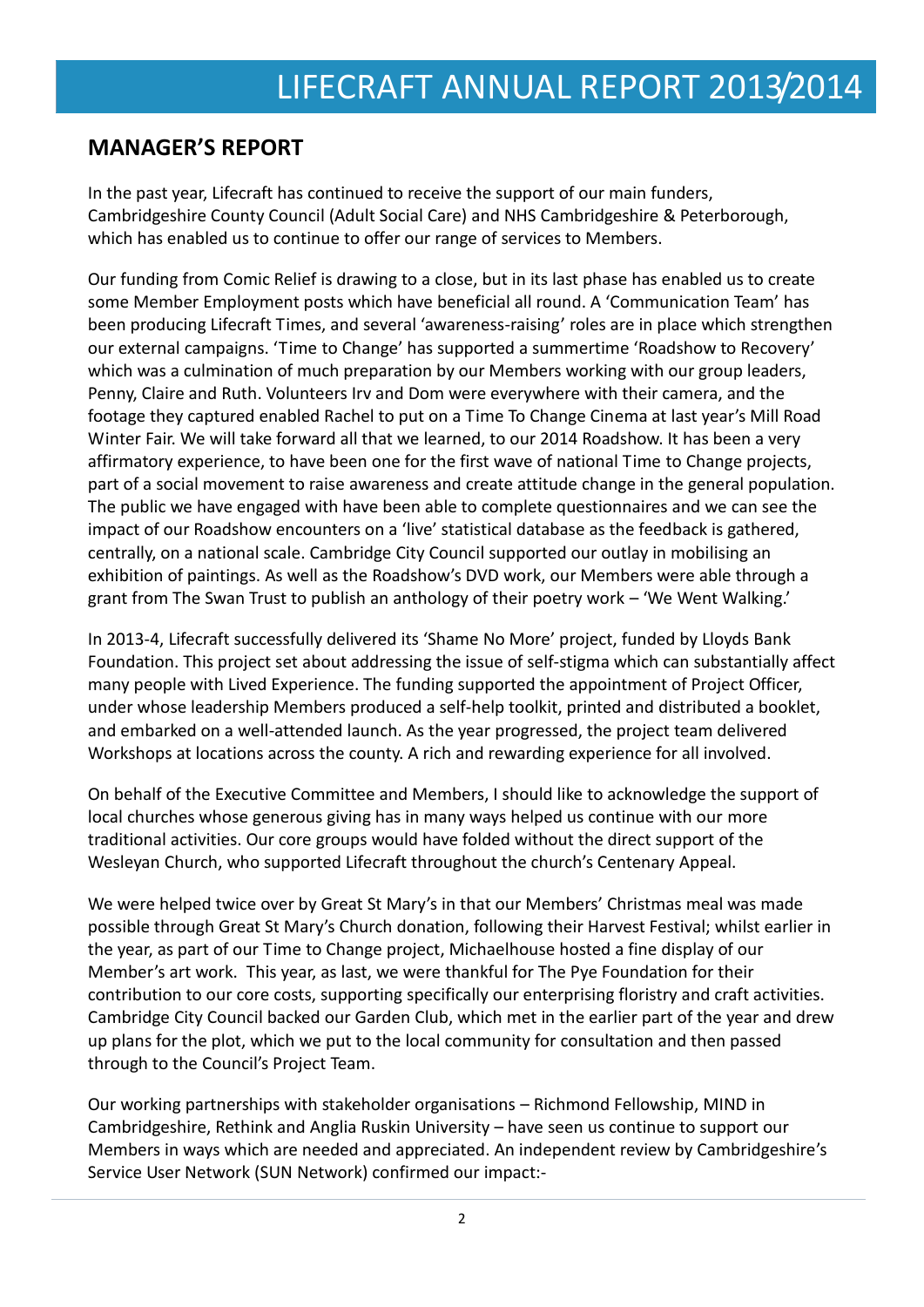### **MANAGER'S REPORT**

In the past year, Lifecraft has continued to receive the support of our main funders, Cambridgeshire County Council (Adult Social Care) and NHS Cambridgeshire & Peterborough, which has enabled us to continue to offer our range of services to Members.

Our funding from Comic Relief is drawing to a close, but in its last phase has enabled us to create some Member Employment posts which have beneficial all round. A 'Communication Team' has been producing Lifecraft Times, and several 'awareness-raising' roles are in place which strengthen our external campaigns. 'Time to Change' has supported a summertime 'Roadshow to Recovery' which was a culmination of much preparation by our Members working with our group leaders, Penny, Claire and Ruth. Volunteers Irv and Dom were everywhere with their camera, and the footage they captured enabled Rachel to put on a Time To Change Cinema at last year's Mill Road Winter Fair. We will take forward all that we learned, to our 2014 Roadshow. It has been a very affirmatory experience, to have been one for the first wave of national Time to Change projects, part of a social movement to raise awareness and create attitude change in the general population. The public we have engaged with have been able to complete questionnaires and we can see the impact of our Roadshow encounters on a 'live' statistical database as the feedback is gathered, centrally, on a national scale. Cambridge City Council supported our outlay in mobilising an exhibition of paintings. As well as the Roadshow's DVD work, our Members were able through a grant from The Swan Trust to publish an anthology of their poetry work – 'We Went Walking.'

In 2013-4, Lifecraft successfully delivered its 'Shame No More' project, funded by Lloyds Bank Foundation. This project set about addressing the issue of self-stigma which can substantially affect many people with Lived Experience. The funding supported the appointment of Project Officer, under whose leadership Members produced a self-help toolkit, printed and distributed a booklet, and embarked on a well-attended launch. As the year progressed, the project team delivered Workshops at locations across the county. A rich and rewarding experience for all involved.

On behalf of the Executive Committee and Members, I should like to acknowledge the support of local churches whose generous giving has in many ways helped us continue with our more traditional activities. Our core groups would have folded without the direct support of the Wesleyan Church, who supported Lifecraft throughout the church's Centenary Appeal.

We were helped twice over by Great St Mary's in that our Members' Christmas meal was made possible through Great St Mary's Church donation, following their Harvest Festival; whilst earlier in the year, as part of our Time to Change project, Michaelhouse hosted a fine display of our Member's art work. This year, as last, we were thankful for The Pye Foundation for their contribution to our core costs, supporting specifically our enterprising floristry and craft activities. Cambridge City Council backed our Garden Club, which met in the earlier part of the year and drew up plans for the plot, which we put to the local community for consultation and then passed through to the Council's Project Team.

Our working partnerships with stakeholder organisations – Richmond Fellowship, MIND in Cambridgeshire, Rethink and Anglia Ruskin University – have seen us continue to support our Members in ways which are needed and appreciated. An independent review by Cambridgeshire's Service User Network (SUN Network) confirmed our impact:-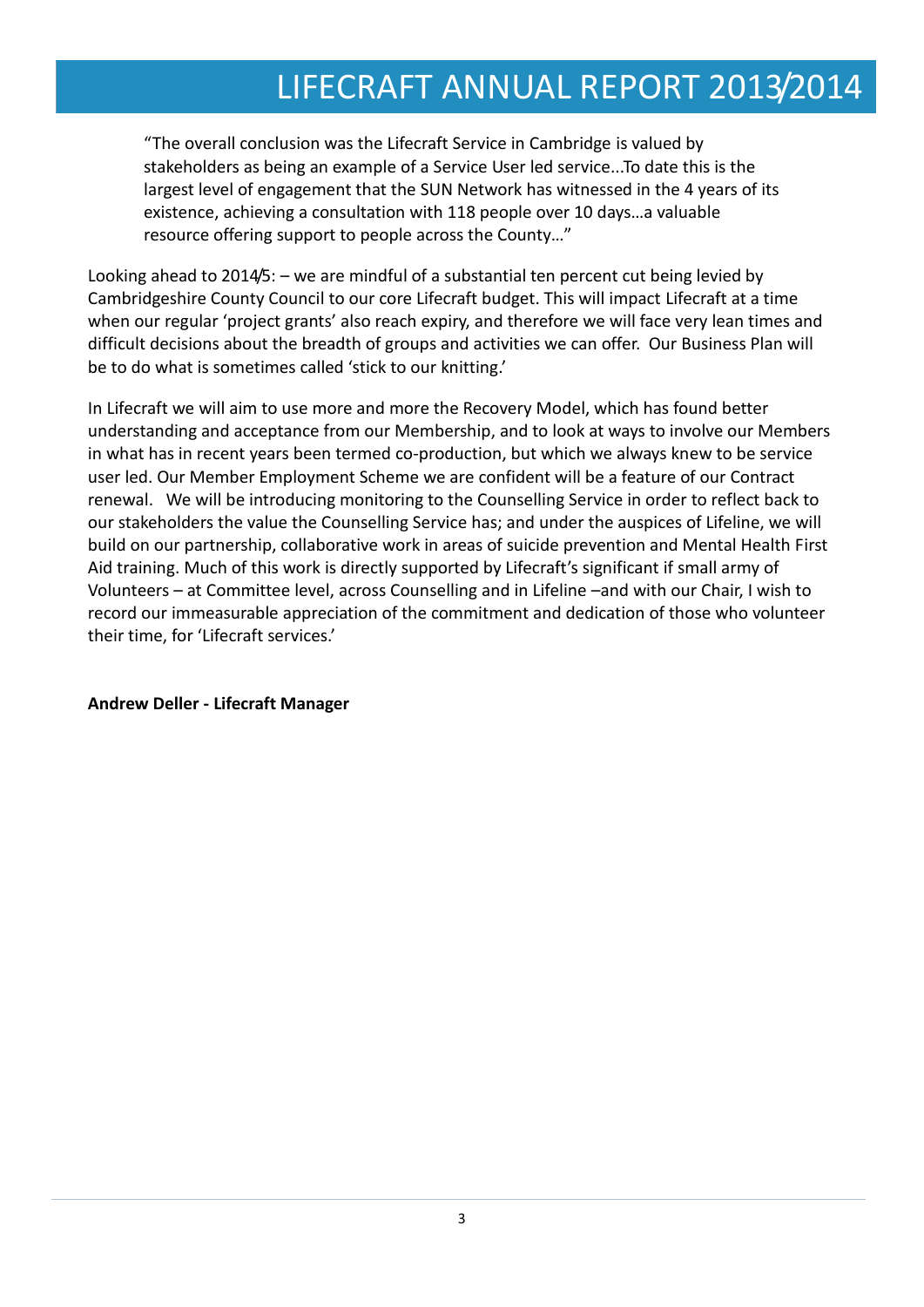"The overall conclusion was the Lifecraft Service in Cambridge is valued by stakeholders as being an example of a Service User led service...To date this is the largest level of engagement that the SUN Network has witnessed in the 4 years of its existence, achieving a consultation with 118 people over 10 days…a valuable resource offering support to people across the County…"

Looking ahead to 2014/5: – we are mindful of a substantial ten percent cut being levied by Cambridgeshire County Council to our core Lifecraft budget. This will impact Lifecraft at a time when our regular 'project grants' also reach expiry, and therefore we will face very lean times and difficult decisions about the breadth of groups and activities we can offer. Our Business Plan will be to do what is sometimes called 'stick to our knitting.'

In Lifecraft we will aim to use more and more the Recovery Model, which has found better understanding and acceptance from our Membership, and to look at ways to involve our Members in what has in recent years been termed co-production, but which we always knew to be service user led. Our Member Employment Scheme we are confident will be a feature of our Contract renewal. We will be introducing monitoring to the Counselling Service in order to reflect back to our stakeholders the value the Counselling Service has; and under the auspices of Lifeline, we will build on our partnership, collaborative work in areas of suicide prevention and Mental Health First Aid training. Much of this work is directly supported by Lifecraft's significant if small army of Volunteers – at Committee level, across Counselling and in Lifeline –and with our Chair, I wish to record our immeasurable appreciation of the commitment and dedication of those who volunteer their time, for 'Lifecraft services.'

**Andrew Deller - Lifecraft Manager**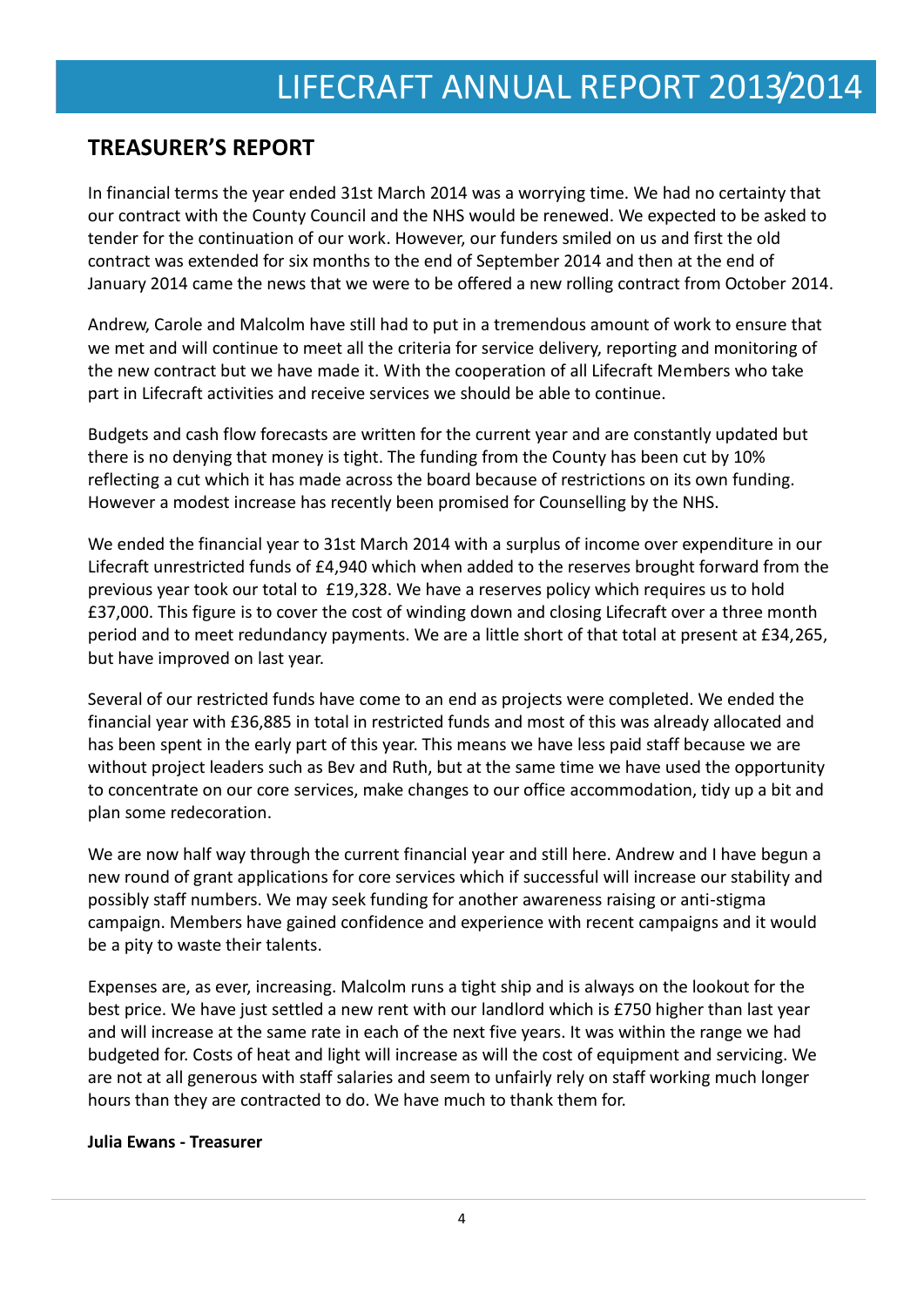## **TREASURER'S REPORT**

In financial terms the year ended 31st March 2014 was a worrying time. We had no certainty that our contract with the County Council and the NHS would be renewed. We expected to be asked to tender for the continuation of our work. However, our funders smiled on us and first the old contract was extended for six months to the end of September 2014 and then at the end of January 2014 came the news that we were to be offered a new rolling contract from October 2014.

Andrew, Carole and Malcolm have still had to put in a tremendous amount of work to ensure that we met and will continue to meet all the criteria for service delivery, reporting and monitoring of the new contract but we have made it. With the cooperation of all Lifecraft Members who take part in Lifecraft activities and receive services we should be able to continue.

Budgets and cash flow forecasts are written for the current year and are constantly updated but there is no denying that money is tight. The funding from the County has been cut by 10% reflecting a cut which it has made across the board because of restrictions on its own funding. However a modest increase has recently been promised for Counselling by the NHS.

We ended the financial year to 31st March 2014 with a surplus of income over expenditure in our Lifecraft unrestricted funds of £4,940 which when added to the reserves brought forward from the previous year took our total to £19,328. We have a reserves policy which requires us to hold £37,000. This figure is to cover the cost of winding down and closing Lifecraft over a three month period and to meet redundancy payments. We are a little short of that total at present at £34,265, but have improved on last year.

Several of our restricted funds have come to an end as projects were completed. We ended the financial year with £36,885 in total in restricted funds and most of this was already allocated and has been spent in the early part of this year. This means we have less paid staff because we are without project leaders such as Bev and Ruth, but at the same time we have used the opportunity to concentrate on our core services, make changes to our office accommodation, tidy up a bit and plan some redecoration.

We are now half way through the current financial year and still here. Andrew and I have begun a new round of grant applications for core services which if successful will increase our stability and possibly staff numbers. We may seek funding for another awareness raising or anti-stigma campaign. Members have gained confidence and experience with recent campaigns and it would be a pity to waste their talents.

Expenses are, as ever, increasing. Malcolm runs a tight ship and is always on the lookout for the best price. We have just settled a new rent with our landlord which is £750 higher than last year and will increase at the same rate in each of the next five years. It was within the range we had budgeted for. Costs of heat and light will increase as will the cost of equipment and servicing. We are not at all generous with staff salaries and seem to unfairly rely on staff working much longer hours than they are contracted to do. We have much to thank them for.

#### **Julia Ewans - Treasurer**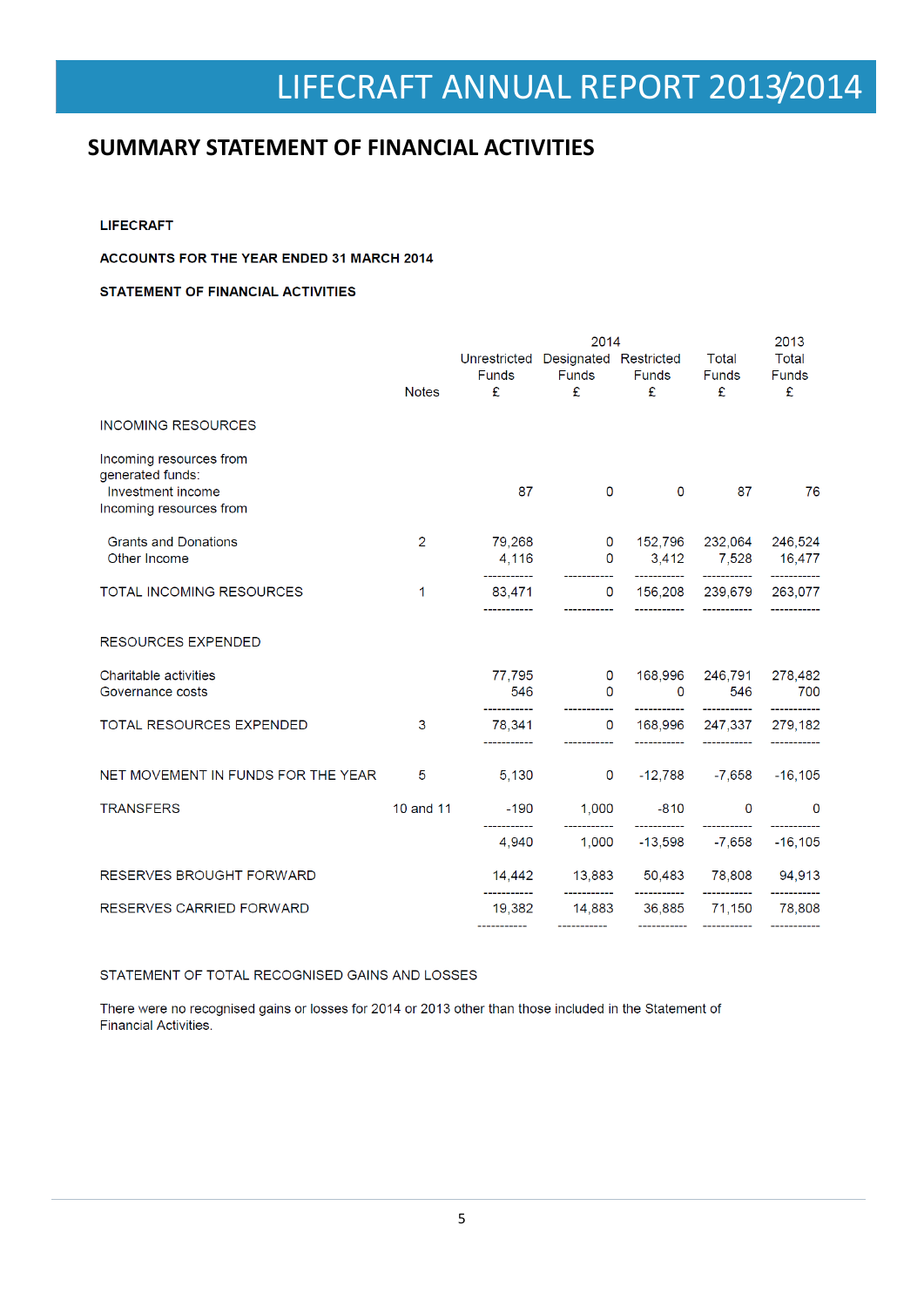## **SUMMARY STATEMENT OF FINANCIAL ACTIVITIES**

**LIFECRAFT** 

#### ACCOUNTS FOR THE YEAR ENDED 31 MARCH 2014

#### **STATEMENT OF FINANCIAL ACTIVITIES**

|                                              |                |                                                    | 2013                                  |                           |                                                   |                         |
|----------------------------------------------|----------------|----------------------------------------------------|---------------------------------------|---------------------------|---------------------------------------------------|-------------------------|
|                                              |                | Unrestricted Designated Restricted<br><b>Funds</b> |                                       | Funds                     | Total<br><b>Funds</b>                             | Total<br><b>Funds</b>   |
|                                              | <b>Notes</b>   | £                                                  | Funds<br>£                            | £                         | £                                                 | £                       |
| <b>INCOMING RESOURCES</b>                    |                |                                                    |                                       |                           |                                                   |                         |
| Incoming resources from<br>generated funds:  |                |                                                    |                                       |                           |                                                   |                         |
| Investment income<br>Incoming resources from |                | 87                                                 | $\mathbf{0}$                          | $\mathbf{0}$              | 87                                                | 76                      |
| <b>Grants and Donations</b>                  | $\overline{2}$ | 79,268                                             | $\mathbf 0$                           | 152,796                   | 232,064                                           | 246,524                 |
| Other Income                                 |                | 4.116                                              | $\mathbf 0$                           | 3,412<br>___________      | 7,528 16,477<br>-----------                       | -----------             |
| TOTAL INCOMING RESOURCES                     | 1              | 83,471                                             |                                       | 0 156,208 239,679 263,077 |                                                   |                         |
| RESOURCES EXPENDED                           |                |                                                    |                                       |                           |                                                   |                         |
| Charitable activities                        |                | 77.795                                             | $\mathbf 0$                           | 168,996                   | 246,791                                           | 278,482                 |
| Governance costs                             |                | 546<br>___________                                 | $\Omega$                              | $\Omega$<br>___________   | 546                                               | 700                     |
| <b>TOTAL RESOURCES EXPENDED</b>              | 3              | 78,341<br>.                                        | $\mathbf 0$                           | 168,996<br>------------   | 247.337                                           | 279,182<br>------------ |
| NET MOVEMENT IN FUNDS FOR THE YEAR           | 5              | 5,130                                              | $\mathsf{O}$                          |                           | $-12,788$ $-7,658$                                | $-16, 105$              |
| <b>TRANSFERS</b>                             | 10 and 11      | $-190$                                             | 1,000                                 | $-810$                    | $\mathbf 0$                                       | 0                       |
|                                              |                | -----------<br>4.940                               | ___________<br>1,000                  | ___________<br>$-13.598$  | -7.658                                            | $-16, 105$              |
| <b>RESERVES BROUGHT FORWARD</b>              |                | __________                                         | 14,442  13,883  50,483  78,808        |                           |                                                   | 94,913                  |
| RESERVES CARRIED FORWARD                     |                | 19,382<br>------------                             | ------------<br>14,883<br>----------- | -----------<br>36,885     | -----------<br>71,150<br>------------ ----------- | 78,808                  |

STATEMENT OF TOTAL RECOGNISED GAINS AND LOSSES

There were no recognised gains or losses for 2014 or 2013 other than those included in the Statement of **Financial Activities.**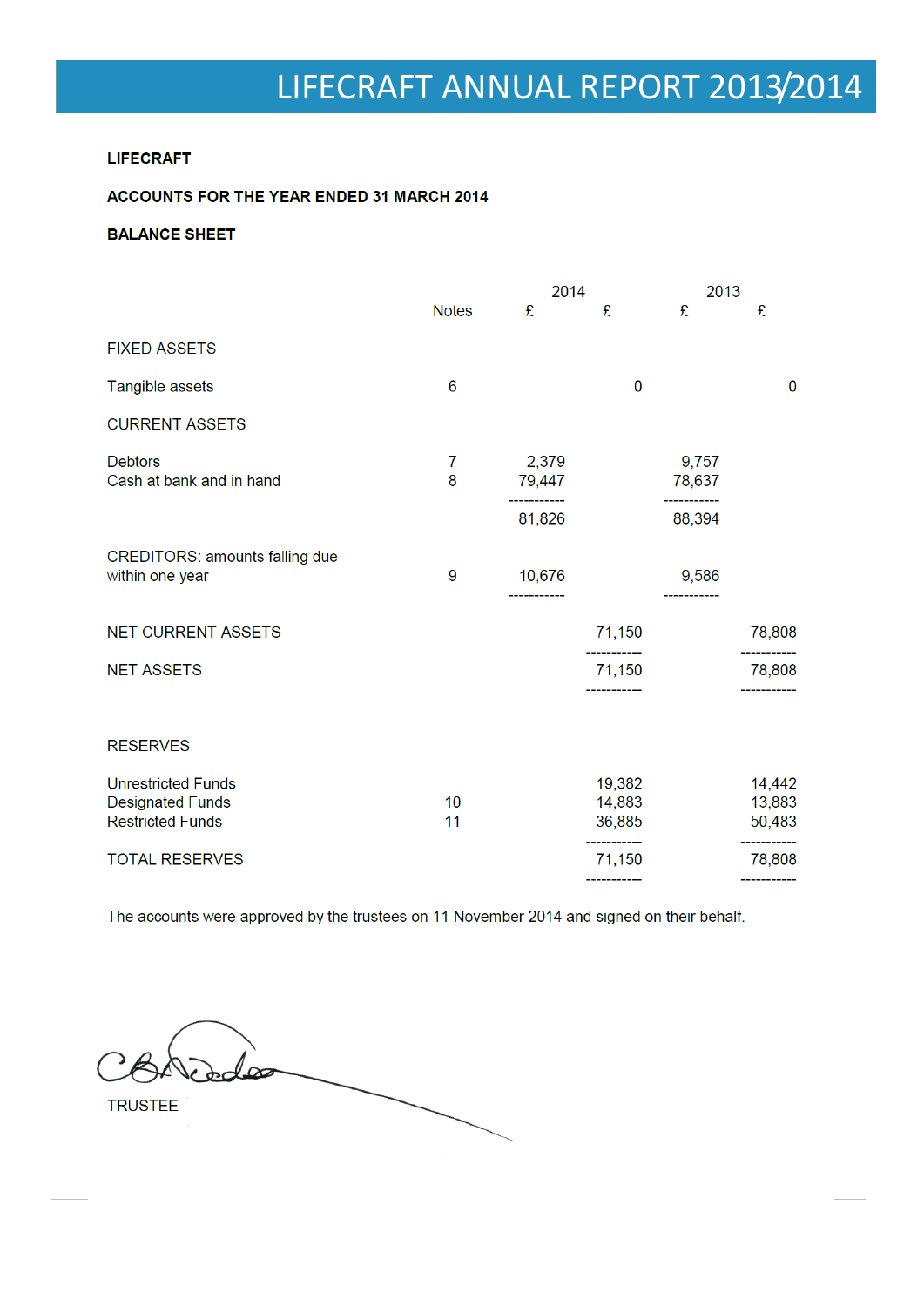#### **LIFECRAFT**

### **ACCOUNTS FOR THE YEAR ENDED 31 MARCH 2014**

#### **BALANCE SHEET**

|                                                          |              | 2014                            |                                      | 2013            |                  |
|----------------------------------------------------------|--------------|---------------------------------|--------------------------------------|-----------------|------------------|
|                                                          | <b>Notes</b> | £                               | £                                    | £               | £                |
| <b>FIXED ASSETS</b>                                      |              |                                 |                                      |                 |                  |
| Tangible assets                                          | 6            |                                 | $\bf{0}$                             |                 | $\bf{0}$         |
| <b>CURRENT ASSETS</b>                                    |              |                                 |                                      |                 |                  |
| <b>Debtors</b><br>Cash at bank and in hand               | 7<br>8       | 2,379<br>79,447<br>____________ |                                      | 9,757<br>78,637 |                  |
|                                                          |              | 81,826                          |                                      | 88,394          |                  |
| <b>CREDITORS: amounts falling due</b><br>within one year | 9            | 10,676                          |                                      | 9,586           |                  |
| <b>NET CURRENT ASSETS</b>                                |              |                                 | 71,150                               |                 | 78,808           |
| <b>NET ASSETS</b>                                        |              |                                 | 71,150                               |                 | 78,808           |
| <b>RESERVES</b>                                          |              |                                 |                                      |                 |                  |
| <b>Unrestricted Funds</b>                                |              |                                 | 19,382                               |                 | 14,442           |
| <b>Designated Funds</b><br><b>Restricted Funds</b>       | 10<br>11     |                                 | 14,883<br>36,885                     |                 | 13,883<br>50,483 |
| <b>TOTAL RESERVES</b>                                    |              |                                 | ----------<br>71,150<br>------------ |                 | 78,808           |
|                                                          |              |                                 |                                      |                 |                  |

The accounts were approved by the trustees on 11 November 2014 and signed on their behalf.

 $dd\infty$ **TRUSTEE**